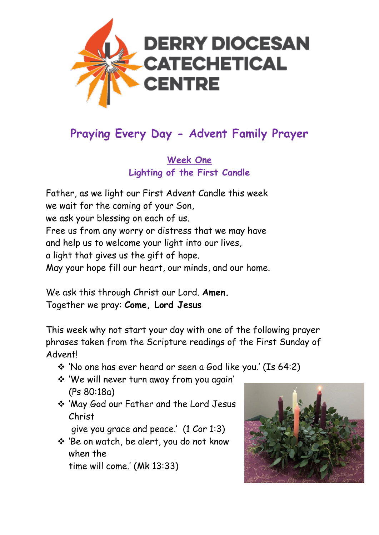

# **Praying Every Day - Advent Family Prayer**

**Week One Lighting of the First Candle**

Father, as we light our First Advent Candle this week we wait for the coming of your Son, we ask your blessing on each of us. Free us from any worry or distress that we may have and help us to welcome your light into our lives, a light that gives us the gift of hope. May your hope fill our heart, our minds, and our home.

We ask this through Christ our Lord. **Amen.** Together we pray: **Come, Lord Jesus**

This week why not start your day with one of the following prayer phrases taken from the Scripture readings of the First Sunday of Advent!

- ❖ 'No one has ever heard or seen a God like you.' (Is 64:2)
- ❖ 'We will never turn away from you again' (Ps 80:18a)
- ❖ 'May God our Father and the Lord Jesus Christ

give you grace and peace.' (1 Cor 1:3)

❖ 'Be on watch, be alert, you do not know when the time will come.' (Mk 13:33)

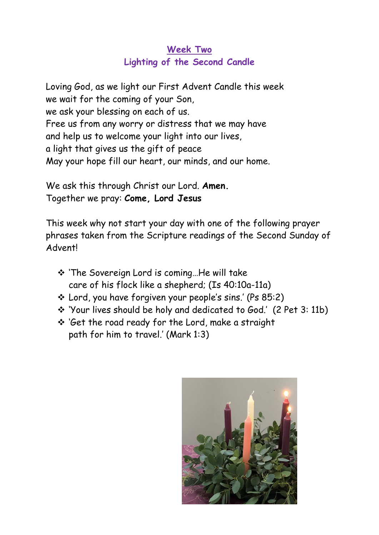## **Week Two Lighting of the Second Candle**

Loving God, as we light our First Advent Candle this week we wait for the coming of your Son, we ask your blessing on each of us. Free us from any worry or distress that we may have and help us to welcome your light into our lives, a light that gives us the gift of peace May your hope fill our heart, our minds, and our home.

We ask this through Christ our Lord. **Amen.** Together we pray: **Come, Lord Jesus**

This week why not start your day with one of the following prayer phrases taken from the Scripture readings of the Second Sunday of Advent!

- ❖ 'The Sovereign Lord is coming…He will take care of his flock like a shepherd; (Is 40:10a-11a)
- ❖ Lord, you have forgiven your people's sins.' (Ps 85:2)
- ❖ 'Your lives should be holy and dedicated to God.' (2 Pet 3: 11b)
- ❖ 'Get the road ready for the Lord, make a straight path for him to travel.' (Mark 1:3)

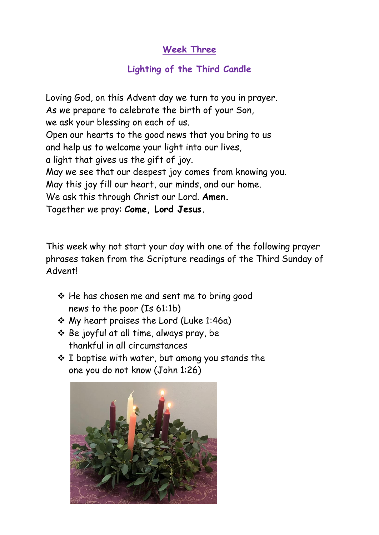#### **Week Three**

#### **Lighting of the Third Candle**

Loving God, on this Advent day we turn to you in prayer. As we prepare to celebrate the birth of your Son, we ask your blessing on each of us. Open our hearts to the good news that you bring to us and help us to welcome your light into our lives, a light that gives us the gift of joy. May we see that our deepest joy comes from knowing you. May this joy fill our heart, our minds, and our home. We ask this through Christ our Lord. **Amen.** Together we pray: **Come, Lord Jesus.**

This week why not start your day with one of the following prayer phrases taken from the Scripture readings of the Third Sunday of Advent!

- ❖ He has chosen me and sent me to bring good news to the poor (Is 61:1b)
- ❖ My heart praises the Lord (Luke 1:46a)
- ❖ Be joyful at all time, always pray, be thankful in all circumstances
- ❖ I baptise with water, but among you stands the one you do not know (John 1:26)